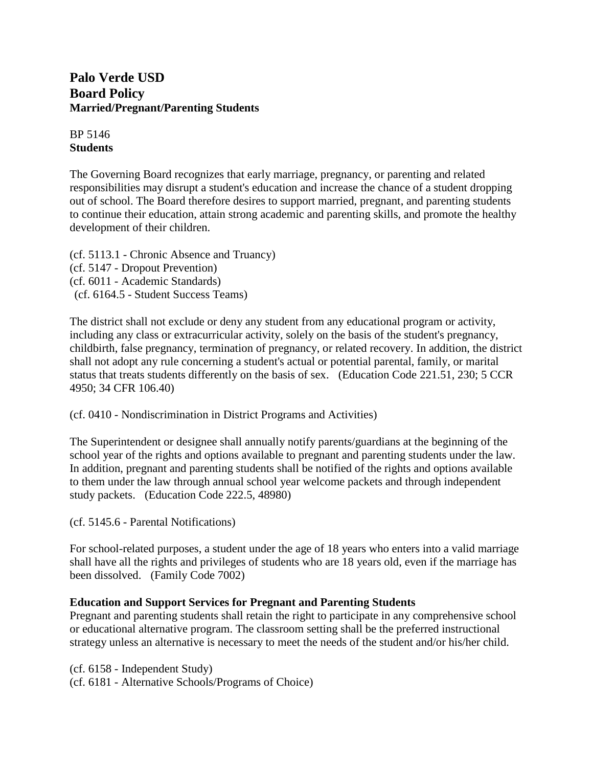# **Palo Verde USD Board Policy Married/Pregnant/Parenting Students**

BP 5146 **Students**

The Governing Board recognizes that early marriage, pregnancy, or parenting and related responsibilities may disrupt a student's education and increase the chance of a student dropping out of school. The Board therefore desires to support married, pregnant, and parenting students to continue their education, attain strong academic and parenting skills, and promote the healthy development of their children.

(cf. 5113.1 - Chronic Absence and Truancy) (cf. 5147 - Dropout Prevention) (cf. 6011 - Academic Standards) (cf. 6164.5 - Student Success Teams)

The district shall not exclude or deny any student from any educational program or activity, including any class or extracurricular activity, solely on the basis of the student's pregnancy, childbirth, false pregnancy, termination of pregnancy, or related recovery. In addition, the district shall not adopt any rule concerning a student's actual or potential parental, family, or marital status that treats students differently on the basis of sex. (Education Code 221.51, 230; 5 CCR 4950; 34 CFR 106.40)

(cf. 0410 - Nondiscrimination in District Programs and Activities)

The Superintendent or designee shall annually notify parents/guardians at the beginning of the school year of the rights and options available to pregnant and parenting students under the law. In addition, pregnant and parenting students shall be notified of the rights and options available to them under the law through annual school year welcome packets and through independent study packets. (Education Code 222.5, 48980)

(cf. 5145.6 - Parental Notifications)

For school-related purposes, a student under the age of 18 years who enters into a valid marriage shall have all the rights and privileges of students who are 18 years old, even if the marriage has been dissolved. (Family Code 7002)

### **Education and Support Services for Pregnant and Parenting Students**

Pregnant and parenting students shall retain the right to participate in any comprehensive school or educational alternative program. The classroom setting shall be the preferred instructional strategy unless an alternative is necessary to meet the needs of the student and/or his/her child.

(cf. 6158 - Independent Study) (cf. 6181 - Alternative Schools/Programs of Choice)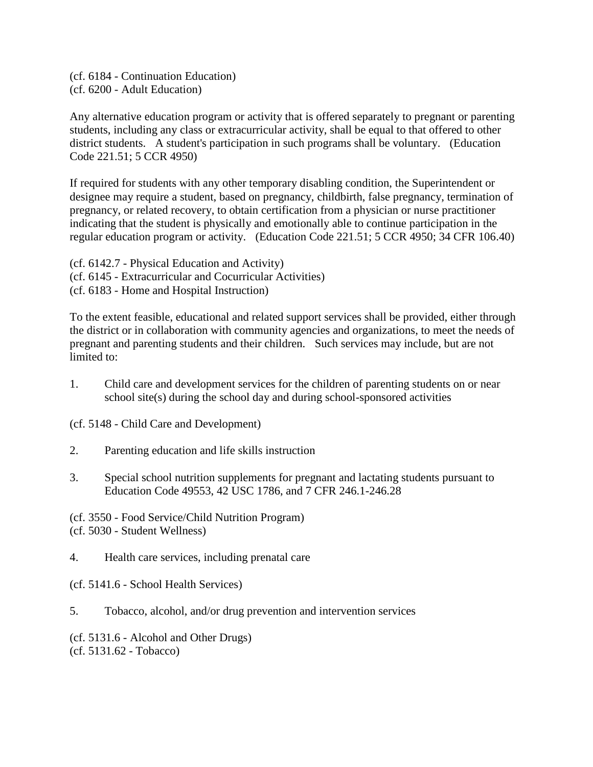(cf. 6184 - Continuation Education) (cf. 6200 - Adult Education)

Any alternative education program or activity that is offered separately to pregnant or parenting students, including any class or extracurricular activity, shall be equal to that offered to other district students. A student's participation in such programs shall be voluntary. (Education Code 221.51; 5 CCR 4950)

If required for students with any other temporary disabling condition, the Superintendent or designee may require a student, based on pregnancy, childbirth, false pregnancy, termination of pregnancy, or related recovery, to obtain certification from a physician or nurse practitioner indicating that the student is physically and emotionally able to continue participation in the regular education program or activity. (Education Code 221.51; 5 CCR 4950; 34 CFR 106.40)

(cf. 6142.7 - Physical Education and Activity) (cf. 6145 - Extracurricular and Cocurricular Activities) (cf. 6183 - Home and Hospital Instruction)

To the extent feasible, educational and related support services shall be provided, either through the district or in collaboration with community agencies and organizations, to meet the needs of pregnant and parenting students and their children. Such services may include, but are not limited to:

1. Child care and development services for the children of parenting students on or near school site(s) during the school day and during school-sponsored activities

(cf. 5148 - Child Care and Development)

- 2. Parenting education and life skills instruction
- 3. Special school nutrition supplements for pregnant and lactating students pursuant to Education Code 49553, 42 USC 1786, and 7 CFR 246.1-246.28

(cf. 3550 - Food Service/Child Nutrition Program) (cf. 5030 - Student Wellness)

- 4. Health care services, including prenatal care
- (cf. 5141.6 School Health Services)
- 5. Tobacco, alcohol, and/or drug prevention and intervention services

(cf. 5131.6 - Alcohol and Other Drugs) (cf. 5131.62 - Tobacco)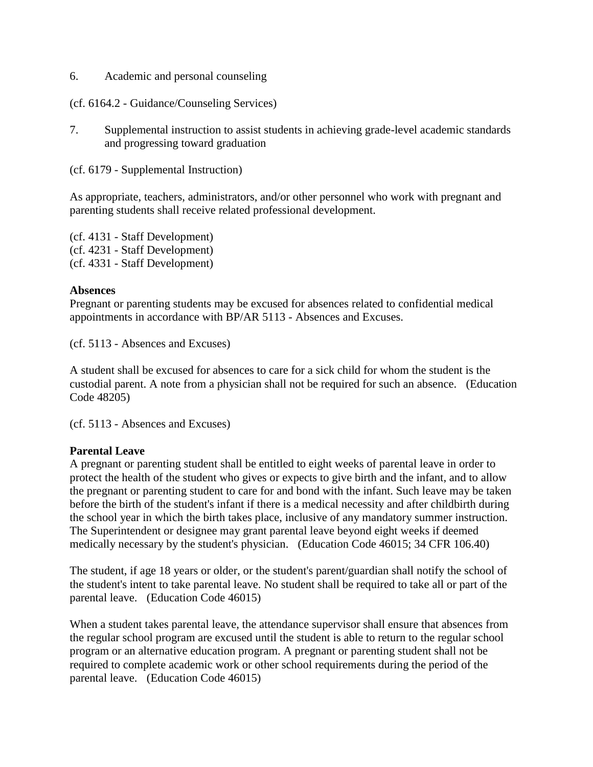6. Academic and personal counseling

#### (cf. 6164.2 - Guidance/Counseling Services)

7. Supplemental instruction to assist students in achieving grade-level academic standards and progressing toward graduation

(cf. 6179 - Supplemental Instruction)

As appropriate, teachers, administrators, and/or other personnel who work with pregnant and parenting students shall receive related professional development.

(cf. 4131 - Staff Development) (cf. 4231 - Staff Development) (cf. 4331 - Staff Development)

#### **Absences**

Pregnant or parenting students may be excused for absences related to confidential medical appointments in accordance with BP/AR 5113 - Absences and Excuses.

(cf. 5113 - Absences and Excuses)

A student shall be excused for absences to care for a sick child for whom the student is the custodial parent. A note from a physician shall not be required for such an absence. (Education Code 48205)

(cf. 5113 - Absences and Excuses)

### **Parental Leave**

A pregnant or parenting student shall be entitled to eight weeks of parental leave in order to protect the health of the student who gives or expects to give birth and the infant, and to allow the pregnant or parenting student to care for and bond with the infant. Such leave may be taken before the birth of the student's infant if there is a medical necessity and after childbirth during the school year in which the birth takes place, inclusive of any mandatory summer instruction. The Superintendent or designee may grant parental leave beyond eight weeks if deemed medically necessary by the student's physician. (Education Code 46015; 34 CFR 106.40)

The student, if age 18 years or older, or the student's parent/guardian shall notify the school of the student's intent to take parental leave. No student shall be required to take all or part of the parental leave. (Education Code 46015)

When a student takes parental leave, the attendance supervisor shall ensure that absences from the regular school program are excused until the student is able to return to the regular school program or an alternative education program. A pregnant or parenting student shall not be required to complete academic work or other school requirements during the period of the parental leave. (Education Code 46015)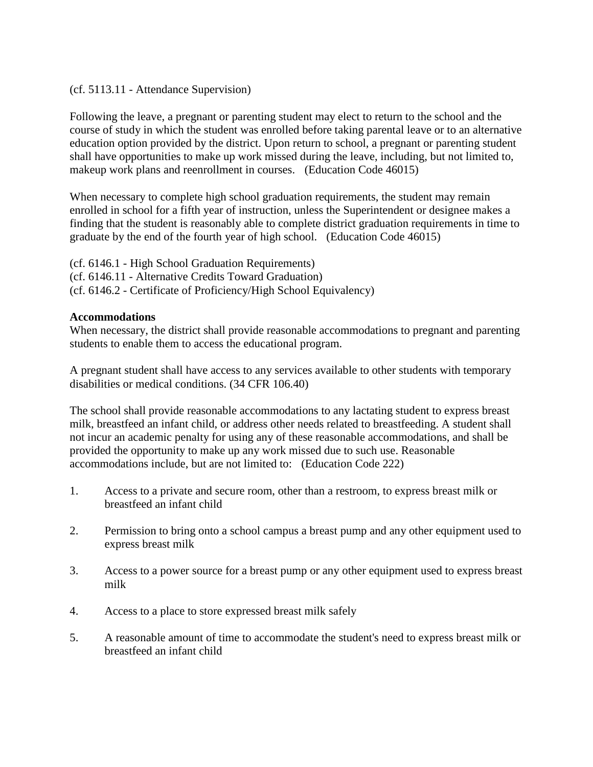#### (cf. 5113.11 - Attendance Supervision)

Following the leave, a pregnant or parenting student may elect to return to the school and the course of study in which the student was enrolled before taking parental leave or to an alternative education option provided by the district. Upon return to school, a pregnant or parenting student shall have opportunities to make up work missed during the leave, including, but not limited to, makeup work plans and reenrollment in courses. (Education Code 46015)

When necessary to complete high school graduation requirements, the student may remain enrolled in school for a fifth year of instruction, unless the Superintendent or designee makes a finding that the student is reasonably able to complete district graduation requirements in time to graduate by the end of the fourth year of high school. (Education Code 46015)

(cf. 6146.1 - High School Graduation Requirements) (cf. 6146.11 - Alternative Credits Toward Graduation) (cf. 6146.2 - Certificate of Proficiency/High School Equivalency)

#### **Accommodations**

When necessary, the district shall provide reasonable accommodations to pregnant and parenting students to enable them to access the educational program.

A pregnant student shall have access to any services available to other students with temporary disabilities or medical conditions. (34 CFR 106.40)

The school shall provide reasonable accommodations to any lactating student to express breast milk, breastfeed an infant child, or address other needs related to breastfeeding. A student shall not incur an academic penalty for using any of these reasonable accommodations, and shall be provided the opportunity to make up any work missed due to such use. Reasonable accommodations include, but are not limited to: (Education Code 222)

- 1. Access to a private and secure room, other than a restroom, to express breast milk or breastfeed an infant child
- 2. Permission to bring onto a school campus a breast pump and any other equipment used to express breast milk
- 3. Access to a power source for a breast pump or any other equipment used to express breast milk
- 4. Access to a place to store expressed breast milk safely
- 5. A reasonable amount of time to accommodate the student's need to express breast milk or breastfeed an infant child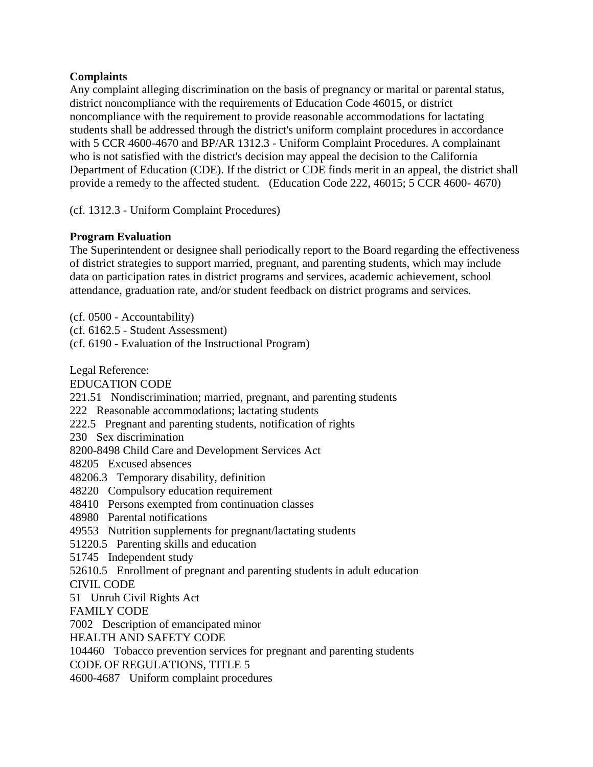### **Complaints**

Any complaint alleging discrimination on the basis of pregnancy or marital or parental status, district noncompliance with the requirements of Education Code 46015, or district noncompliance with the requirement to provide reasonable accommodations for lactating students shall be addressed through the district's uniform complaint procedures in accordance with 5 CCR 4600-4670 and BP/AR 1312.3 - Uniform Complaint Procedures. A complainant who is not satisfied with the district's decision may appeal the decision to the California Department of Education (CDE). If the district or CDE finds merit in an appeal, the district shall provide a remedy to the affected student. (Education Code 222, 46015; 5 CCR 4600- 4670)

(cf. 1312.3 - Uniform Complaint Procedures)

## **Program Evaluation**

The Superintendent or designee shall periodically report to the Board regarding the effectiveness of district strategies to support married, pregnant, and parenting students, which may include data on participation rates in district programs and services, academic achievement, school attendance, graduation rate, and/or student feedback on district programs and services.

(cf. 0500 - Accountability)

(cf. 6162.5 - Student Assessment)

(cf. 6190 - Evaluation of the Instructional Program)

Legal Reference:

EDUCATION CODE

221.51 Nondiscrimination; married, pregnant, and parenting students

222 Reasonable accommodations; lactating students

222.5 Pregnant and parenting students, notification of rights

230 Sex discrimination

8200-8498 Child Care and Development Services Act

48205 Excused absences

48206.3 Temporary disability, definition

48220 Compulsory education requirement

48410 Persons exempted from continuation classes

48980 Parental notifications

49553 Nutrition supplements for pregnant/lactating students

51220.5 Parenting skills and education

51745 Independent study

52610.5 Enrollment of pregnant and parenting students in adult education

CIVIL CODE

51 Unruh Civil Rights Act

FAMILY CODE

7002 Description of emancipated minor

HEALTH AND SAFETY CODE

104460 Tobacco prevention services for pregnant and parenting students CODE OF REGULATIONS, TITLE 5

4600-4687 Uniform complaint procedures